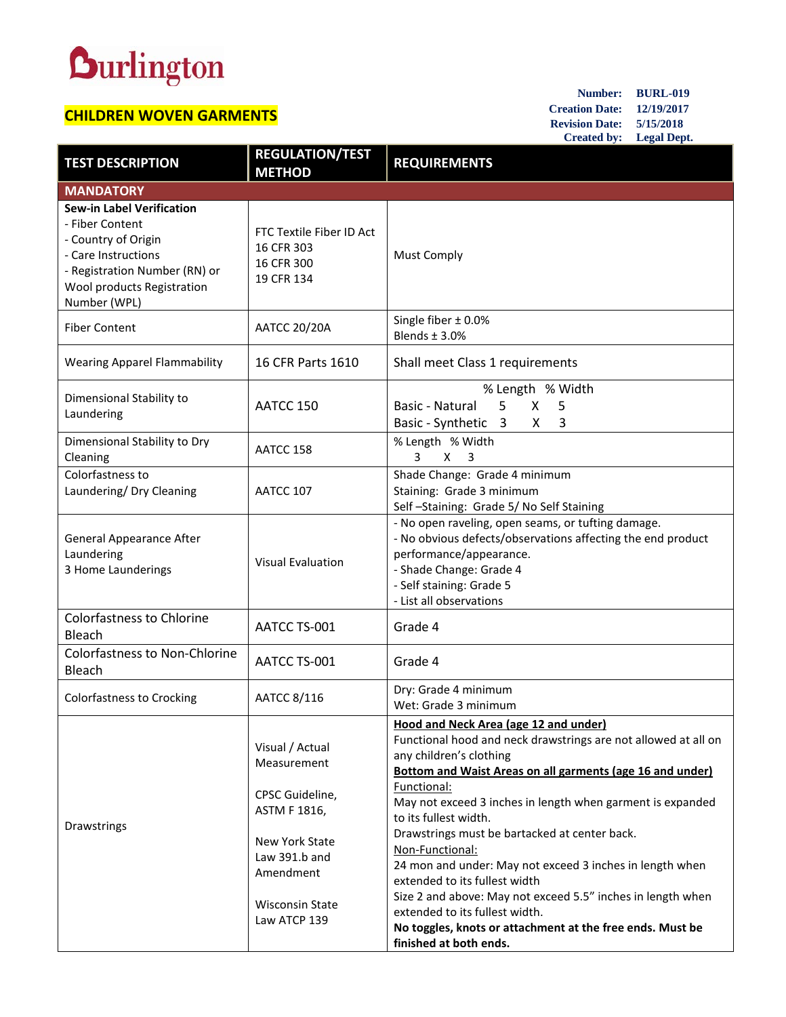## **Durlington**

## **CHILDREN WOVEN GARMENTS**

**Number: BURL-019 Creation Date: 12/19/2017 Revision Date: 5/15/2018 Created by: Legal Dept.**

| <b>TEST DESCRIPTION</b>                                                                                                                                                          | <b>REGULATION/TEST</b><br><b>METHOD</b>                            | <b>REQUIREMENTS</b>                                                                                                                                                                                                            |
|----------------------------------------------------------------------------------------------------------------------------------------------------------------------------------|--------------------------------------------------------------------|--------------------------------------------------------------------------------------------------------------------------------------------------------------------------------------------------------------------------------|
| <b>MANDATORY</b>                                                                                                                                                                 |                                                                    |                                                                                                                                                                                                                                |
| <b>Sew-in Label Verification</b><br>- Fiber Content<br>- Country of Origin<br>- Care Instructions<br>- Registration Number (RN) or<br>Wool products Registration<br>Number (WPL) | FTC Textile Fiber ID Act<br>16 CFR 303<br>16 CFR 300<br>19 CFR 134 | <b>Must Comply</b>                                                                                                                                                                                                             |
| <b>Fiber Content</b>                                                                                                                                                             | <b>AATCC 20/20A</b>                                                | Single fiber $\pm$ 0.0%<br>Blends $\pm$ 3.0%                                                                                                                                                                                   |
| <b>Wearing Apparel Flammability</b>                                                                                                                                              | 16 CFR Parts 1610                                                  | Shall meet Class 1 requirements                                                                                                                                                                                                |
| Dimensional Stability to<br>Laundering                                                                                                                                           | AATCC 150                                                          | % Length % Width<br>Basic - Natural<br>5<br>X<br>5<br>Basic - Synthetic 3<br>3<br>X                                                                                                                                            |
| Dimensional Stability to Dry<br>Cleaning                                                                                                                                         | AATCC 158                                                          | % Length % Width<br>X<br>$\overline{\mathbf{3}}$<br>3                                                                                                                                                                          |
| Colorfastness to<br>Laundering/ Dry Cleaning                                                                                                                                     | AATCC 107                                                          | Shade Change: Grade 4 minimum<br>Staining: Grade 3 minimum<br>Self-Staining: Grade 5/No Self Staining                                                                                                                          |
| <b>General Appearance After</b><br>Laundering<br>3 Home Launderings                                                                                                              | <b>Visual Evaluation</b>                                           | - No open raveling, open seams, or tufting damage.<br>- No obvious defects/observations affecting the end product<br>performance/appearance.<br>- Shade Change: Grade 4<br>- Self staining: Grade 5<br>- List all observations |
| <b>Colorfastness to Chlorine</b><br><b>Bleach</b>                                                                                                                                | AATCC TS-001                                                       | Grade 4                                                                                                                                                                                                                        |
| <b>Colorfastness to Non-Chlorine</b><br>Bleach                                                                                                                                   | AATCC TS-001                                                       | Grade 4                                                                                                                                                                                                                        |
| Colorfastness to Crocking                                                                                                                                                        | AATCC 8/116                                                        | Dry: Grade 4 minimum<br>Wet: Grade 3 minimum                                                                                                                                                                                   |
| Drawstrings                                                                                                                                                                      | Visual / Actual<br>Measurement                                     | Hood and Neck Area (age 12 and under)<br>Functional hood and neck drawstrings are not allowed at all on<br>any children's clothing<br>Bottom and Waist Areas on all garments (age 16 and under)<br>Functional:                 |
|                                                                                                                                                                                  | CPSC Guideline,<br>ASTM F 1816,                                    | May not exceed 3 inches in length when garment is expanded<br>to its fullest width.                                                                                                                                            |
|                                                                                                                                                                                  | New York State<br>Law 391.b and<br>Amendment                       | Drawstrings must be bartacked at center back.<br>Non-Functional:<br>24 mon and under: May not exceed 3 inches in length when<br>extended to its fullest width                                                                  |
|                                                                                                                                                                                  | <b>Wisconsin State</b><br>Law ATCP 139                             | Size 2 and above: May not exceed 5.5" inches in length when<br>extended to its fullest width.<br>No toggles, knots or attachment at the free ends. Must be<br>finished at both ends.                                           |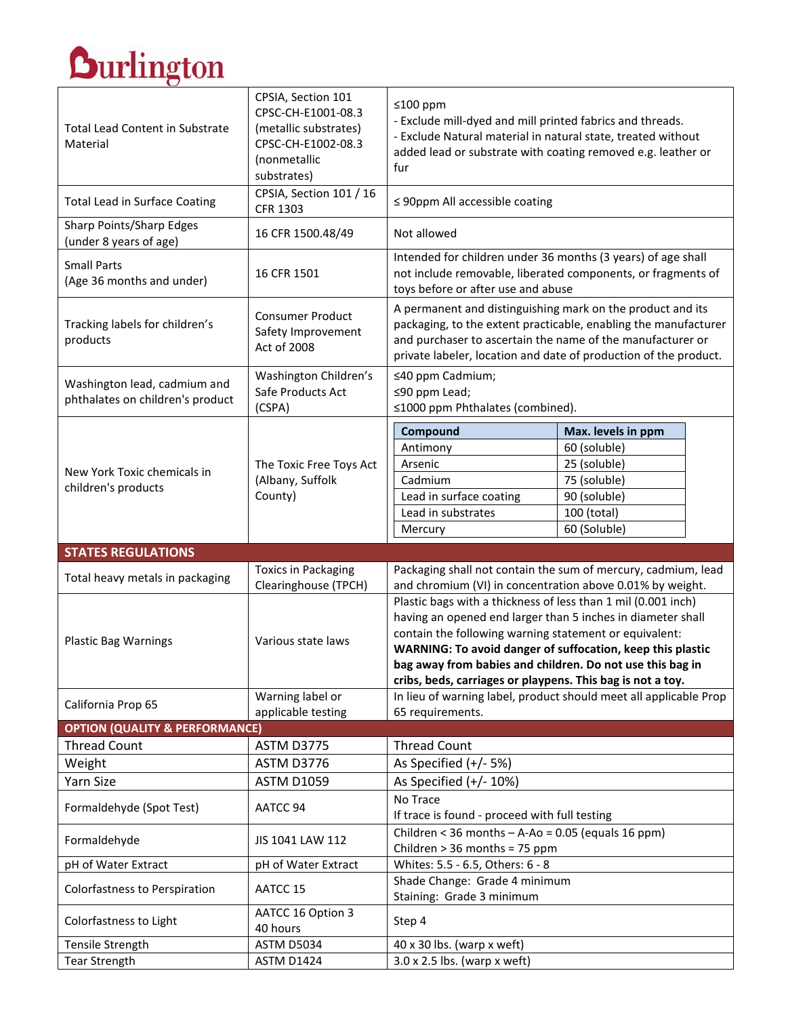## **Durlington**

| <b>Durlington</b>                                                |                                                                                                                        |                                                                                                                                                                                                                                                                                                                                                                                 |                                                                                                                   |
|------------------------------------------------------------------|------------------------------------------------------------------------------------------------------------------------|---------------------------------------------------------------------------------------------------------------------------------------------------------------------------------------------------------------------------------------------------------------------------------------------------------------------------------------------------------------------------------|-------------------------------------------------------------------------------------------------------------------|
| <b>Total Lead Content in Substrate</b><br>Material               | CPSIA, Section 101<br>CPSC-CH-E1001-08.3<br>(metallic substrates)<br>CPSC-CH-E1002-08.3<br>(nonmetallic<br>substrates) | ≤100 ppm<br>- Exclude mill-dyed and mill printed fabrics and threads.<br>- Exclude Natural material in natural state, treated without<br>added lead or substrate with coating removed e.g. leather or<br>fur                                                                                                                                                                    |                                                                                                                   |
| <b>Total Lead in Surface Coating</b>                             | CPSIA, Section 101 / 16<br><b>CFR 1303</b>                                                                             | $\leq$ 90ppm All accessible coating                                                                                                                                                                                                                                                                                                                                             |                                                                                                                   |
| Sharp Points/Sharp Edges<br>(under 8 years of age)               | 16 CFR 1500.48/49                                                                                                      | Not allowed                                                                                                                                                                                                                                                                                                                                                                     |                                                                                                                   |
| <b>Small Parts</b><br>(Age 36 months and under)                  | 16 CFR 1501                                                                                                            | Intended for children under 36 months (3 years) of age shall<br>not include removable, liberated components, or fragments of<br>toys before or after use and abuse                                                                                                                                                                                                              |                                                                                                                   |
| Tracking labels for children's<br>products                       | <b>Consumer Product</b><br>Safety Improvement<br>Act of 2008                                                           | A permanent and distinguishing mark on the product and its<br>packaging, to the extent practicable, enabling the manufacturer<br>and purchaser to ascertain the name of the manufacturer or<br>private labeler, location and date of production of the product.                                                                                                                 |                                                                                                                   |
| Washington lead, cadmium and<br>phthalates on children's product | Washington Children's<br>Safe Products Act<br>(CSPA)                                                                   | ≤40 ppm Cadmium;<br>≤90 ppm Lead;<br>≤1000 ppm Phthalates (combined).                                                                                                                                                                                                                                                                                                           |                                                                                                                   |
| New York Toxic chemicals in<br>children's products               | The Toxic Free Toys Act<br>(Albany, Suffolk<br>County)                                                                 | Compound<br>Antimony<br>Arsenic<br>Cadmium<br>Lead in surface coating<br>Lead in substrates<br>Mercury                                                                                                                                                                                                                                                                          | Max. levels in ppm<br>60 (soluble)<br>25 (soluble)<br>75 (soluble)<br>90 (soluble)<br>100 (total)<br>60 (Soluble) |
| <b>STATES REGULATIONS</b>                                        |                                                                                                                        |                                                                                                                                                                                                                                                                                                                                                                                 |                                                                                                                   |
| Total heavy metals in packaging                                  | <b>Toxics in Packaging</b><br>Clearinghouse (TPCH)                                                                     | Packaging shall not contain the sum of mercury, cadmium, lead<br>and chromium (VI) in concentration above 0.01% by weight.                                                                                                                                                                                                                                                      |                                                                                                                   |
| <b>Plastic Bag Warnings</b>                                      | Various state laws                                                                                                     | Plastic bags with a thickness of less than 1 mil (0.001 inch)<br>having an opened end larger than 5 inches in diameter shall<br>contain the following warning statement or equivalent:<br>WARNING: To avoid danger of suffocation, keep this plastic<br>bag away from babies and children. Do not use this bag in<br>cribs, beds, carriages or playpens. This bag is not a toy. |                                                                                                                   |
| California Prop 65                                               | Warning label or<br>applicable testing                                                                                 | In lieu of warning label, product should meet all applicable Prop<br>65 requirements.                                                                                                                                                                                                                                                                                           |                                                                                                                   |
| <b>OPTION (QUALITY &amp; PERFORMANCE)</b>                        |                                                                                                                        |                                                                                                                                                                                                                                                                                                                                                                                 |                                                                                                                   |
| <b>Thread Count</b>                                              | <b>ASTM D3775</b>                                                                                                      | <b>Thread Count</b>                                                                                                                                                                                                                                                                                                                                                             |                                                                                                                   |
| Weight                                                           | ASTM D3776                                                                                                             | As Specified (+/- 5%)                                                                                                                                                                                                                                                                                                                                                           |                                                                                                                   |
| <b>Yarn Size</b>                                                 | <b>ASTM D1059</b>                                                                                                      | As Specified $(+/- 10%)$                                                                                                                                                                                                                                                                                                                                                        |                                                                                                                   |
| Formaldehyde (Spot Test)                                         | AATCC 94                                                                                                               | No Trace<br>If trace is found - proceed with full testing                                                                                                                                                                                                                                                                                                                       |                                                                                                                   |
| Formaldehyde                                                     | JIS 1041 LAW 112                                                                                                       | Children < 36 months $-$ A-Ao = 0.05 (equals 16 ppm)<br>Children > 36 months = 75 ppm                                                                                                                                                                                                                                                                                           |                                                                                                                   |
| pH of Water Extract                                              | pH of Water Extract                                                                                                    | Whites: 5.5 - 6.5, Others: 6 - 8                                                                                                                                                                                                                                                                                                                                                |                                                                                                                   |
| Colorfastness to Perspiration                                    | AATCC 15                                                                                                               | Shade Change: Grade 4 minimum<br>Staining: Grade 3 minimum                                                                                                                                                                                                                                                                                                                      |                                                                                                                   |
| Colorfastness to Light                                           | AATCC 16 Option 3<br>40 hours                                                                                          | Step 4                                                                                                                                                                                                                                                                                                                                                                          |                                                                                                                   |
| Tensile Strength                                                 | <b>ASTM D5034</b>                                                                                                      | $40 \times 30$ lbs. (warp x weft)                                                                                                                                                                                                                                                                                                                                               |                                                                                                                   |
| <b>Tear Strength</b>                                             | <b>ASTM D1424</b>                                                                                                      | $3.0 \times 2.5$ lbs. (warp x weft)                                                                                                                                                                                                                                                                                                                                             |                                                                                                                   |

٦